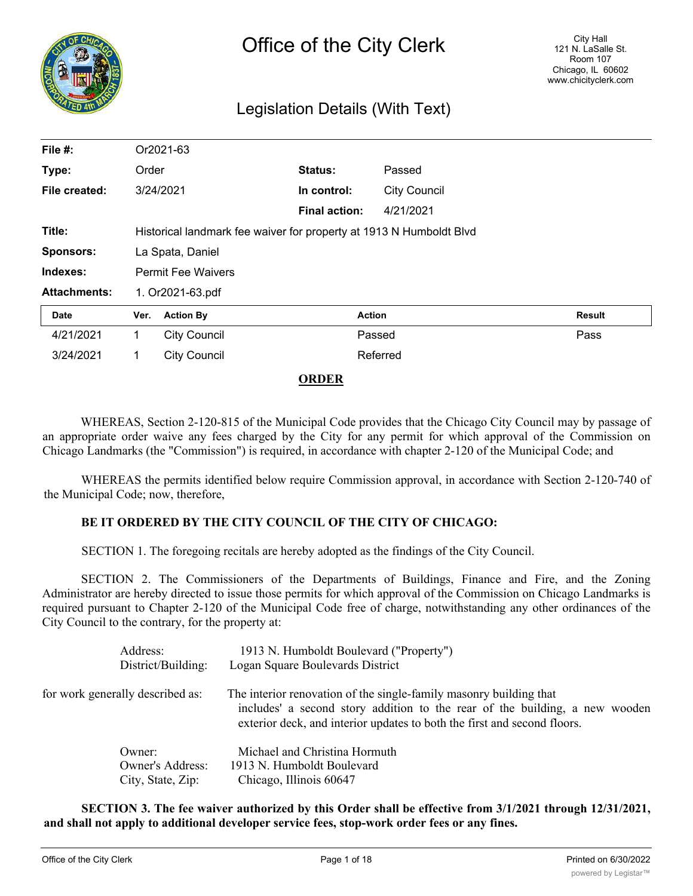

# Legislation Details (With Text)

| File #:             |                                                                     | Or2021-63           |                      |                     |        |  |
|---------------------|---------------------------------------------------------------------|---------------------|----------------------|---------------------|--------|--|
| Type:               | Order                                                               |                     | <b>Status:</b>       | Passed              |        |  |
| File created:       | 3/24/2021                                                           |                     | In control:          | <b>City Council</b> |        |  |
|                     |                                                                     |                     | <b>Final action:</b> | 4/21/2021           |        |  |
| Title:              | Historical landmark fee waiver for property at 1913 N Humboldt Blvd |                     |                      |                     |        |  |
| <b>Sponsors:</b>    | La Spata, Daniel                                                    |                     |                      |                     |        |  |
| Indexes:            | <b>Permit Fee Waivers</b>                                           |                     |                      |                     |        |  |
| <b>Attachments:</b> | 1. Or2021-63.pdf                                                    |                     |                      |                     |        |  |
| Date                | Ver.                                                                | <b>Action By</b>    |                      | <b>Action</b>       | Result |  |
| 4/21/2021           | 1.                                                                  | <b>City Council</b> |                      | Passed              | Pass   |  |
| 3/24/2021           | 1.                                                                  | <b>City Council</b> |                      | Referred            |        |  |

#### **ORDER**

WHEREAS, Section 2-120-815 of the Municipal Code provides that the Chicago City Council may by passage of an appropriate order waive any fees charged by the City for any permit for which approval of the Commission on Chicago Landmarks (the "Commission") is required, in accordance with chapter 2-120 of the Municipal Code; and

WHEREAS the permits identified below require Commission approval, in accordance with Section 2-120-740 of the Municipal Code; now, therefore,

### **BE IT ORDERED BY THE CITY COUNCIL OF THE CITY OF CHICAGO:**

SECTION 1. The foregoing recitals are hereby adopted as the findings of the City Council.

SECTION 2. The Commissioners of the Departments of Buildings, Finance and Fire, and the Zoning Administrator are hereby directed to issue those permits for which approval of the Commission on Chicago Landmarks is required pursuant to Chapter 2-120 of the Municipal Code free of charge, notwithstanding any other ordinances of the City Council to the contrary, for the property at:

|                                  | Address:<br>District/Building: | 1913 N. Humboldt Boulevard ("Property")<br>Logan Square Boulevards District                                                                                                                                                   |
|----------------------------------|--------------------------------|-------------------------------------------------------------------------------------------------------------------------------------------------------------------------------------------------------------------------------|
| for work generally described as: |                                | The interior renovation of the single-family masonry building that<br>includes' a second story addition to the rear of the building, a new wooden<br>exterior deck, and interior updates to both the first and second floors. |
|                                  | Owner:                         | Michael and Christina Hormuth                                                                                                                                                                                                 |
|                                  | <b>Owner's Address:</b>        | 1913 N. Humboldt Boulevard                                                                                                                                                                                                    |
|                                  | City, State, Zip:              | Chicago, Illinois 60647                                                                                                                                                                                                       |

**SECTION 3. The fee waiver authorized by this Order shall be effective from 3/1/2021 through 12/31/2021, and shall not apply to additional developer service fees, stop-work order fees or any fines.**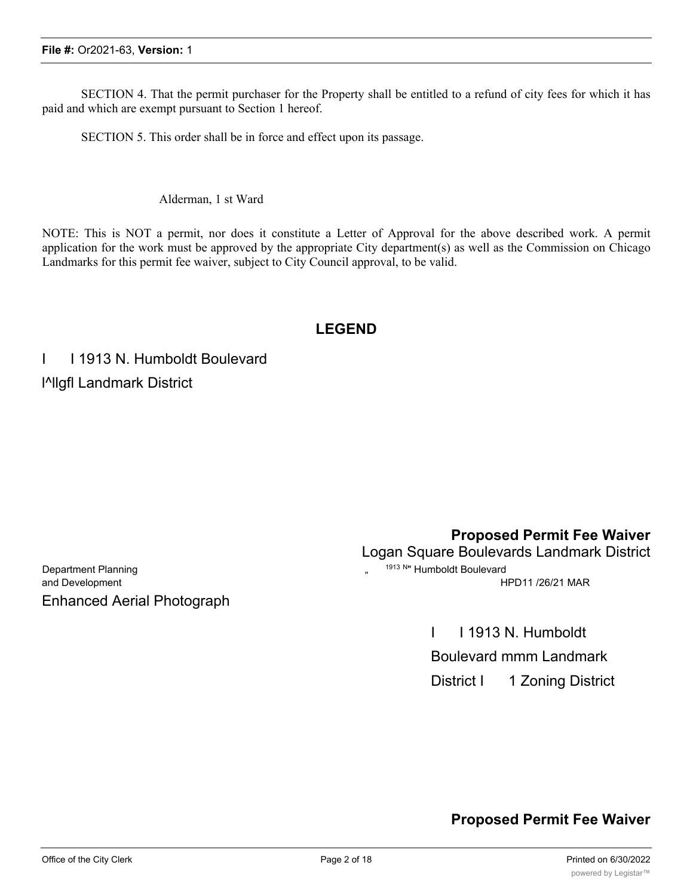SECTION 4. That the permit purchaser for the Property shall be entitled to a refund of city fees for which it has paid and which are exempt pursuant to Section 1 hereof.

SECTION 5. This order shall be in force and effect upon its passage.

Alderman, 1 st Ward

NOTE: This is NOT a permit, nor does it constitute a Letter of Approval for the above described work. A permit application for the work must be approved by the appropriate City department(s) as well as the Commission on Chicago Landmarks for this permit fee waiver, subject to City Council approval, to be valid.

# **LEGEND**

I I 1913 N. Humboldt Boulevard l^llgfl Landmark District

Department Planning Theorem 2013 Numboldt Boulevard Enhanced Aerial Photograph

**Proposed Permit Fee Waiver**

Logan Square Boulevards Landmark District

and Development **HPD11 /26/21 MAR** 

I I 1913 N. Humboldt

Boulevard mmm Landmark

District I 1 Zoning District

# **Proposed Permit Fee Waiver**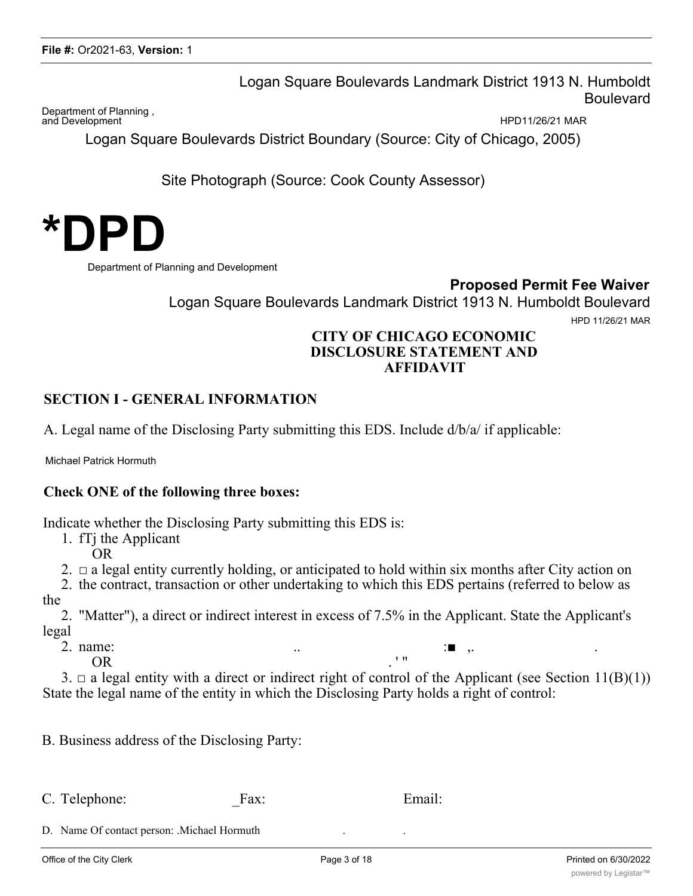Logan Square Boulevards Landmark District 1913 N. Humboldt Boulevard

Department of Planning , and Development **All the Second Leapers** of the Marian Herbert Herbert Herbert Herbert Herbert Herbert Herbert Herbert Herbert Herbert Herbert Herbert Herbert Herbert Herbert Herbert Herbert Herbert Herbert Herbert Herbert

Logan Square Boulevards District Boundary (Source: City of Chicago, 2005)

Site Photograph (Source: Cook County Assessor)



Department of Planning and Development

**Proposed Permit Fee Waiver**

Logan Square Boulevards Landmark District 1913 N. Humboldt Boulevard HPD 11/26/21 MAR

## **CITY OF CHICAGO ECONOMIC DISCLOSURE STATEMENT AND AFFIDAVIT**

## **SECTION I - GENERAL INFORMATION**

A. Legal name of the Disclosing Party submitting this EDS. Include d/b/a/ if applicable:

Michael Patrick Hormuth

## **Check ONE of the following three boxes:**

Indicate whether the Disclosing Party submitting this EDS is:

1. fTj the Applicant

OR

2.  $\Box$  a legal entity currently holding, or anticipated to hold within six months after City action on

2. the contract, transaction or other undertaking to which this EDS pertains (referred to below as the

2. "Matter"), a direct or indirect interest in excess of 7.5% in the Applicant. State the Applicant's legal

2. name:  $\qquad \qquad \ldots$  .  $\qquad \qquad \qquad \vdots$  , .

 $OR$   $\cdot$  "

3.  $\Box$  a legal entity with a direct or indirect right of control of the Applicant (see Section 11(B)(1)) State the legal name of the entity in which the Disclosing Party holds a right of control:

B. Business address of the Disclosing Party:

C. Telephone: Fax: Email:

D. Name Of contact person: .Michael Hormuth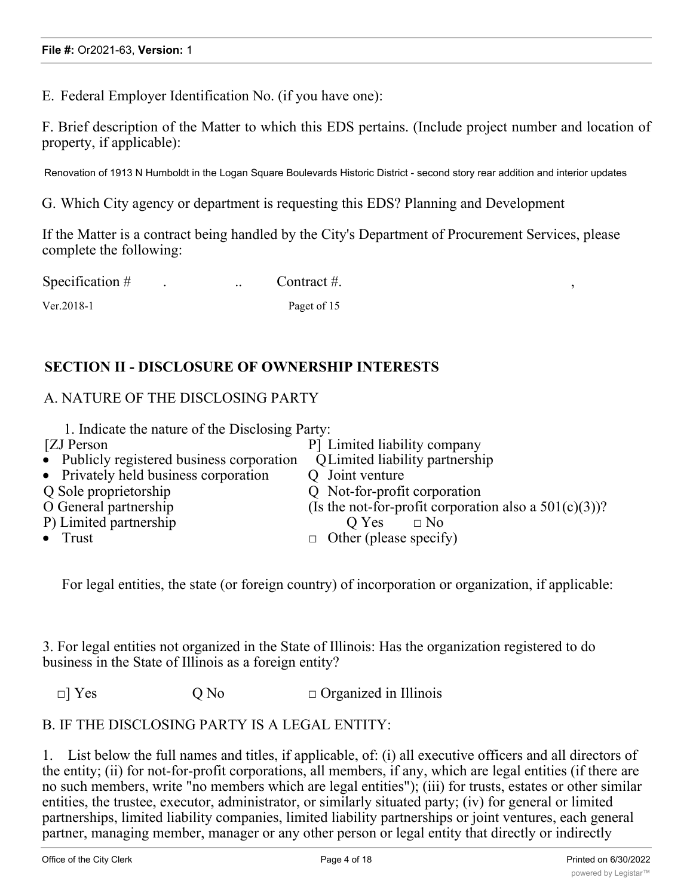E. Federal Employer Identification No. (if you have one):

F. Brief description of the Matter to which this EDS pertains. (Include project number and location of property, if applicable):

Renovation of 1913 N Humboldt in the Logan Square Boulevards Historic District - second story rear addition and interior updates

G. Which City agency or department is requesting this EDS? Planning and Development

If the Matter is a contract being handled by the City's Department of Procurement Services, please complete the following:

| Specification # | $\ddotsc$ | Contract #. |  |
|-----------------|-----------|-------------|--|
| $Ver. 2018-1$   |           | Paget of 15 |  |

# **SECTION II - DISCLOSURE OF OWNERSHIP INTERESTS**

## A. NATURE OF THE DISCLOSING PARTY

| 1. Indicate the nature of the Disclosing Party:          |
|----------------------------------------------------------|
| P Limited liability company                              |
| Q Limited liability partnership                          |
| Q Joint venture                                          |
| Q Not-for-profit corporation                             |
| (Is the not-for-profit corporation also a $501(c)(3)$ )? |
| $\Box$ No<br>O Yes                                       |
| $\Box$ Other (please specify)                            |
|                                                          |

For legal entities, the state (or foreign country) of incorporation or organization, if applicable:

3. For legal entities not organized in the State of Illinois: Has the organization registered to do business in the State of Illinois as a foreign entity?

 $\Box$  Yes  $\Box$  O No  $\Box$  Organized in Illinois

## B. IF THE DISCLOSING PARTY IS A LEGAL ENTITY:

1. List below the full names and titles, if applicable, of: (i) all executive officers and all directors of the entity; (ii) for not-for-profit corporations, all members, if any, which are legal entities (if there are no such members, write "no members which are legal entities"); (iii) for trusts, estates or other similar entities, the trustee, executor, administrator, or similarly situated party; (iv) for general or limited partnerships, limited liability companies, limited liability partnerships or joint ventures, each general partner, managing member, manager or any other person or legal entity that directly or indirectly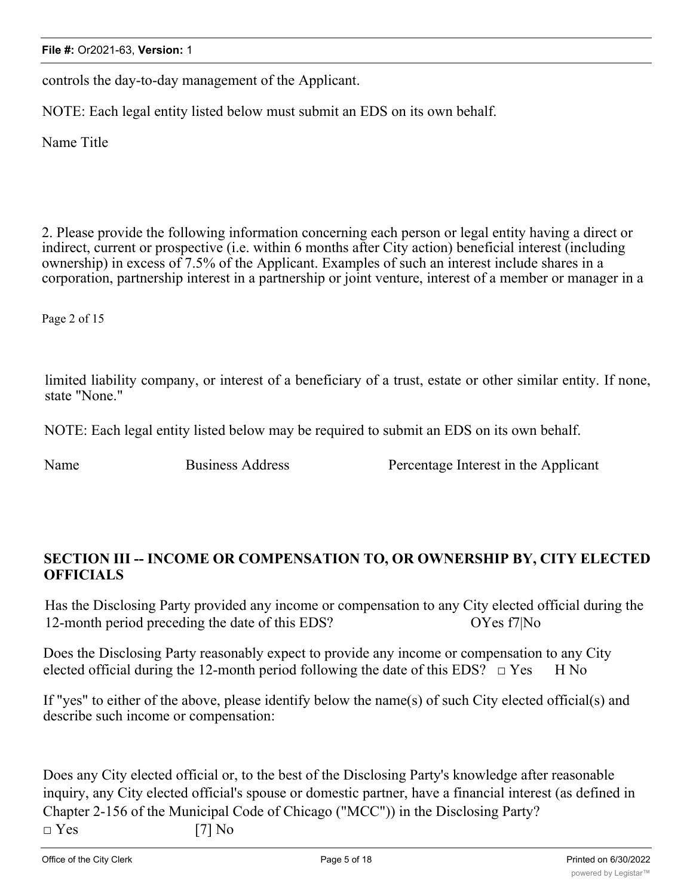controls the day-to-day management of the Applicant.

NOTE: Each legal entity listed below must submit an EDS on its own behalf.

Name Title

2. Please provide the following information concerning each person or legal entity having a direct or indirect, current or prospective (i.e. within 6 months after City action) beneficial interest (including ownership) in excess of 7.5% of the Applicant. Examples of such an interest include shares in a corporation, partnership interest in a partnership or joint venture, interest of a member or manager in a

Page 2 of 15

limited liability company, or interest of a beneficiary of a trust, estate or other similar entity. If none, state "None."

NOTE: Each legal entity listed below may be required to submit an EDS on its own behalf.

Name Business Address **Percentage Interest** in the Applicant

## **SECTION III -- INCOME OR COMPENSATION TO, OR OWNERSHIP BY, CITY ELECTED OFFICIALS**

Has the Disclosing Party provided any income or compensation to any City elected official during the 12-month period preceding the date of this EDS? OYes f7|No

Does the Disclosing Party reasonably expect to provide any income or compensation to any City elected official during the 12-month period following the date of this EDS?  $\Box$  Yes H No

If "yes" to either of the above, please identify below the name(s) of such City elected official(s) and describe such income or compensation:

Does any City elected official or, to the best of the Disclosing Party's knowledge after reasonable inquiry, any City elected official's spouse or domestic partner, have a financial interest (as defined in Chapter 2-156 of the Municipal Code of Chicago ("MCC")) in the Disclosing Party?  $\square$  Yes [7] No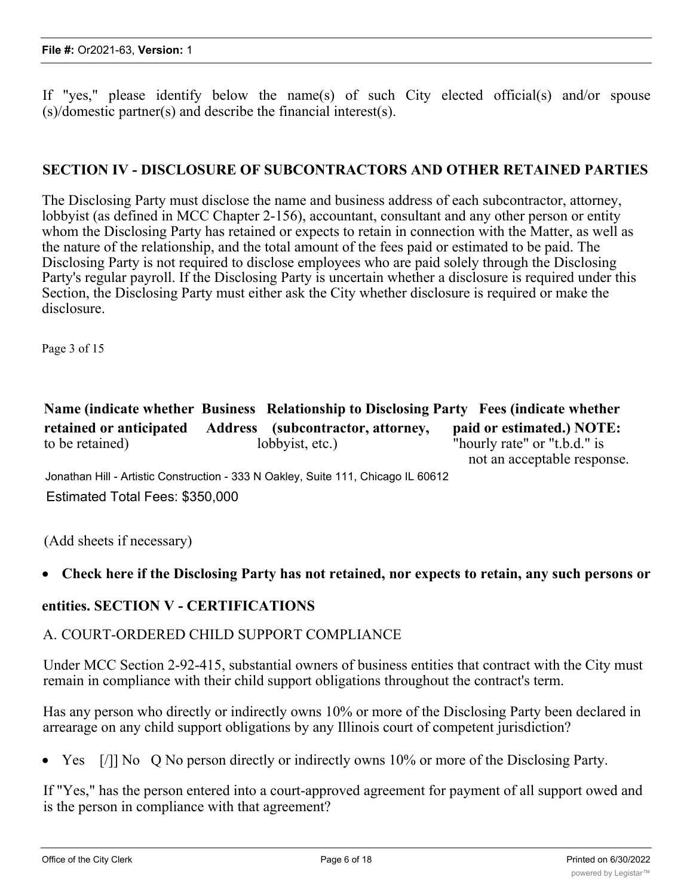If "yes," please identify below the name(s) of such City elected official(s) and/or spouse (s)/domestic partner(s) and describe the financial interest(s).

## **SECTION IV - DISCLOSURE OF SUBCONTRACTORS AND OTHER RETAINED PARTIES**

The Disclosing Party must disclose the name and business address of each subcontractor, attorney, lobbyist (as defined in MCC Chapter 2-156), accountant, consultant and any other person or entity whom the Disclosing Party has retained or expects to retain in connection with the Matter, as well as the nature of the relationship, and the total amount of the fees paid or estimated to be paid. The Disclosing Party is not required to disclose employees who are paid solely through the Disclosing Party's regular payroll. If the Disclosing Party is uncertain whether a disclosure is required under this Section, the Disclosing Party must either ask the City whether disclosure is required or make the disclosure.

Page 3 of 15

|                         |                                   | Name (indicate whether Business Relationship to Disclosing Party Fees (indicate whether |
|-------------------------|-----------------------------------|-----------------------------------------------------------------------------------------|
| retained or anticipated | Address (subcontractor, attorney, | paid or estimated.) NOTE:                                                               |
| to be retained)         | lobbyist, etc.)                   | "hourly rate" or "t.b.d." is                                                            |
|                         |                                   | not an acceptable response.                                                             |

Jonathan Hill - Artistic Construction - 333 N Oakley, Suite 111, Chicago IL 60612 Estimated Total Fees: \$350,000

(Add sheets if necessary)

## · **Check here if the Disclosing Party has not retained, nor expects to retain, any such persons or**

### **entities. SECTION V - CERTIFICATIONS**

### A. COURT-ORDERED CHILD SUPPORT COMPLIANCE

Under MCC Section 2-92-415, substantial owners of business entities that contract with the City must remain in compliance with their child support obligations throughout the contract's term.

Has any person who directly or indirectly owns 10% or more of the Disclosing Party been declared in arrearage on any child support obligations by any Illinois court of competent jurisdiction?

Yes [/]] No Q No person directly or indirectly owns 10% or more of the Disclosing Party.

If "Yes," has the person entered into a court-approved agreement for payment of all support owed and is the person in compliance with that agreement?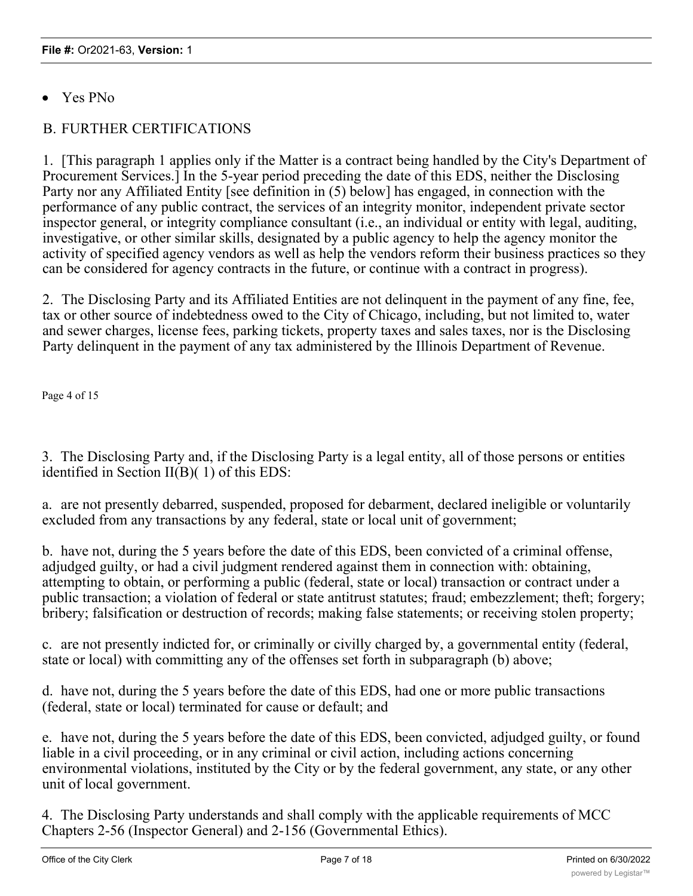· Yes PNo

# B. FURTHER CERTIFICATIONS

1. [This paragraph 1 applies only if the Matter is a contract being handled by the City's Department of Procurement Services.] In the 5-year period preceding the date of this EDS, neither the Disclosing Party nor any Affiliated Entity [see definition in (5) below] has engaged, in connection with the performance of any public contract, the services of an integrity monitor, independent private sector inspector general, or integrity compliance consultant (i.e., an individual or entity with legal, auditing, investigative, or other similar skills, designated by a public agency to help the agency monitor the activity of specified agency vendors as well as help the vendors reform their business practices so they can be considered for agency contracts in the future, or continue with a contract in progress).

2. The Disclosing Party and its Affiliated Entities are not delinquent in the payment of any fine, fee, tax or other source of indebtedness owed to the City of Chicago, including, but not limited to, water and sewer charges, license fees, parking tickets, property taxes and sales taxes, nor is the Disclosing Party delinquent in the payment of any tax administered by the Illinois Department of Revenue.

Page 4 of 15

3. The Disclosing Party and, if the Disclosing Party is a legal entity, all of those persons or entities identified in Section II(B)( 1) of this EDS:

a. are not presently debarred, suspended, proposed for debarment, declared ineligible or voluntarily excluded from any transactions by any federal, state or local unit of government;

b. have not, during the 5 years before the date of this EDS, been convicted of a criminal offense, adjudged guilty, or had a civil judgment rendered against them in connection with: obtaining, attempting to obtain, or performing a public (federal, state or local) transaction or contract under a public transaction; a violation of federal or state antitrust statutes; fraud; embezzlement; theft; forgery; bribery; falsification or destruction of records; making false statements; or receiving stolen property;

c. are not presently indicted for, or criminally or civilly charged by, a governmental entity (federal, state or local) with committing any of the offenses set forth in subparagraph (b) above;

d. have not, during the 5 years before the date of this EDS, had one or more public transactions (federal, state or local) terminated for cause or default; and

e. have not, during the 5 years before the date of this EDS, been convicted, adjudged guilty, or found liable in a civil proceeding, or in any criminal or civil action, including actions concerning environmental violations, instituted by the City or by the federal government, any state, or any other unit of local government.

4. The Disclosing Party understands and shall comply with the applicable requirements of MCC Chapters 2-56 (Inspector General) and 2-156 (Governmental Ethics).

*'4*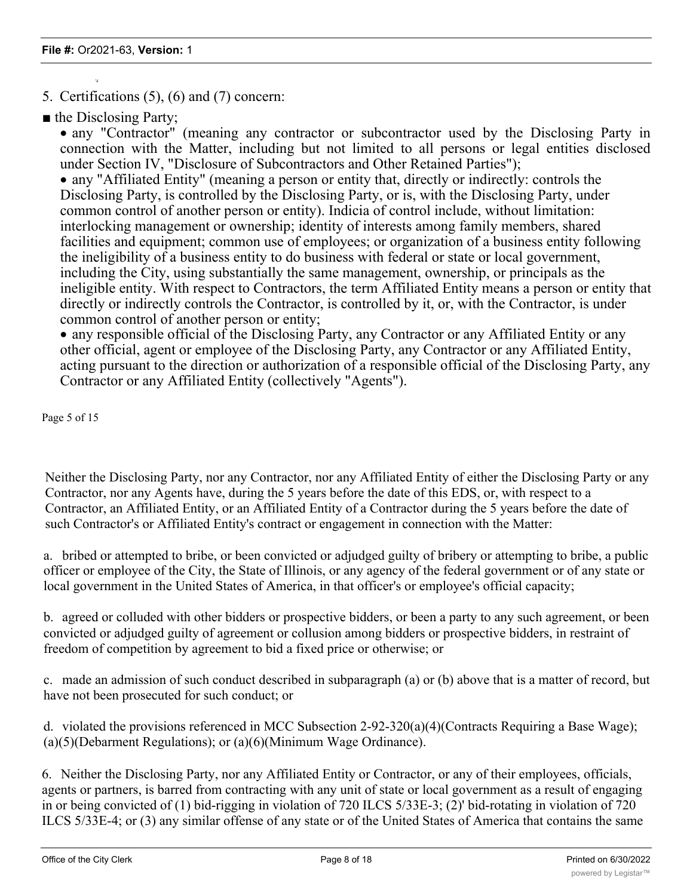5. Certifications (5), (6) and (7) concern:

■ the Disclosing Party;

*'4*

• any "Contractor" (meaning any contractor or subcontractor used by the Disclosing Party in connection with the Matter, including but not limited to all persons or legal entities disclosed under Section IV, "Disclosure of Subcontractors and Other Retained Parties");

· any "Affiliated Entity" (meaning a person or entity that, directly or indirectly: controls the Disclosing Party, is controlled by the Disclosing Party, or is, with the Disclosing Party, under common control of another person or entity). Indicia of control include, without limitation: interlocking management or ownership; identity of interests among family members, shared facilities and equipment; common use of employees; or organization of a business entity following the ineligibility of a business entity to do business with federal or state or local government, including the City, using substantially the same management, ownership, or principals as the ineligible entity. With respect to Contractors, the term Affiliated Entity means a person or entity that directly or indirectly controls the Contractor, is controlled by it, or, with the Contractor, is under common control of another person or entity;

· any responsible official of the Disclosing Party, any Contractor or any Affiliated Entity or any other official, agent or employee of the Disclosing Party, any Contractor or any Affiliated Entity, acting pursuant to the direction or authorization of a responsible official of the Disclosing Party, any Contractor or any Affiliated Entity (collectively "Agents").

Page 5 of 15

Neither the Disclosing Party, nor any Contractor, nor any Affiliated Entity of either the Disclosing Party or any Contractor, nor any Agents have, during the 5 years before the date of this EDS, or, with respect to a Contractor, an Affiliated Entity, or an Affiliated Entity of a Contractor during the 5 years before the date of such Contractor's or Affiliated Entity's contract or engagement in connection with the Matter:

a. bribed or attempted to bribe, or been convicted or adjudged guilty of bribery or attempting to bribe, a public officer or employee of the City, the State of Illinois, or any agency of the federal government or of any state or local government in the United States of America, in that officer's or employee's official capacity;

b. agreed or colluded with other bidders or prospective bidders, or been a party to any such agreement, or been convicted or adjudged guilty of agreement or collusion among bidders or prospective bidders, in restraint of freedom of competition by agreement to bid a fixed price or otherwise; or

c. made an admission of such conduct described in subparagraph (a) or (b) above that is a matter of record, but have not been prosecuted for such conduct; or

d. violated the provisions referenced in MCC Subsection 2-92-320(a)(4)(Contracts Requiring a Base Wage); (a)(5)(Debarment Regulations); or (a)(6)(Minimum Wage Ordinance).

6. Neither the Disclosing Party, nor any Affiliated Entity or Contractor, or any of their employees, officials, agents or partners, is barred from contracting with any unit of state or local government as a result of engaging in or being convicted of (1) bid-rigging in violation of 720 ILCS 5/33E-3; (2)' bid-rotating in violation of 720 ILCS 5/33E-4; or (3) any similar offense of any state or of the United States of America that contains the same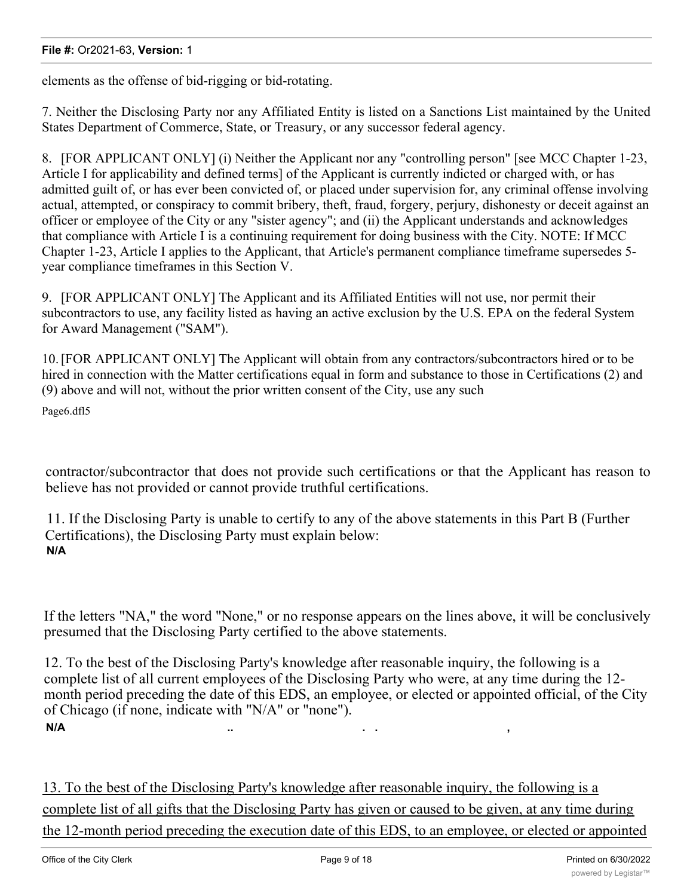elements as the offense of bid-rigging or bid-rotating.

7. Neither the Disclosing Party nor any Affiliated Entity is listed on a Sanctions List maintained by the United States Department of Commerce, State, or Treasury, or any successor federal agency.

8. [FOR APPLICANT ONLY] (i) Neither the Applicant nor any "controlling person" [see MCC Chapter 1-23, Article I for applicability and defined terms] of the Applicant is currently indicted or charged with, or has admitted guilt of, or has ever been convicted of, or placed under supervision for, any criminal offense involving actual, attempted, or conspiracy to commit bribery, theft, fraud, forgery, perjury, dishonesty or deceit against an officer or employee of the City or any "sister agency"; and (ii) the Applicant understands and acknowledges that compliance with Article I is a continuing requirement for doing business with the City. NOTE: If MCC Chapter 1-23, Article I applies to the Applicant, that Article's permanent compliance timeframe supersedes 5 year compliance timeframes in this Section V.

9. [FOR APPLICANT ONLY] The Applicant and its Affiliated Entities will not use, nor permit their subcontractors to use, any facility listed as having an active exclusion by the U.S. EPA on the federal System for Award Management ("SAM").

10.[FOR APPLICANT ONLY] The Applicant will obtain from any contractors/subcontractors hired or to be hired in connection with the Matter certifications equal in form and substance to those in Certifications (2) and (9) above and will not, without the prior written consent of the City, use any such

Page6.dfl5

contractor/subcontractor that does not provide such certifications or that the Applicant has reason to believe has not provided or cannot provide truthful certifications.

11. If the Disclosing Party is unable to certify to any of the above statements in this Part B (Further Certifications), the Disclosing Party must explain below: **N/A**

If the letters "NA," the word "None," or no response appears on the lines above, it will be conclusively presumed that the Disclosing Party certified to the above statements.

12. To the best of the Disclosing Party's knowledge after reasonable inquiry, the following is a complete list of all current employees of the Disclosing Party who were, at any time during the 12 month period preceding the date of this EDS, an employee, or elected or appointed official, of the City of Chicago (if none, indicate with "N/A" or "none"). **N/A .. . . ,**

13. To the best of the Disclosing Party's knowledge after reasonable inquiry, the following is a complete list of all gifts that the Disclosing Party has given or caused to be given, at any time during the 12-month period preceding the execution date of this EDS, to an employee, or elected or appointed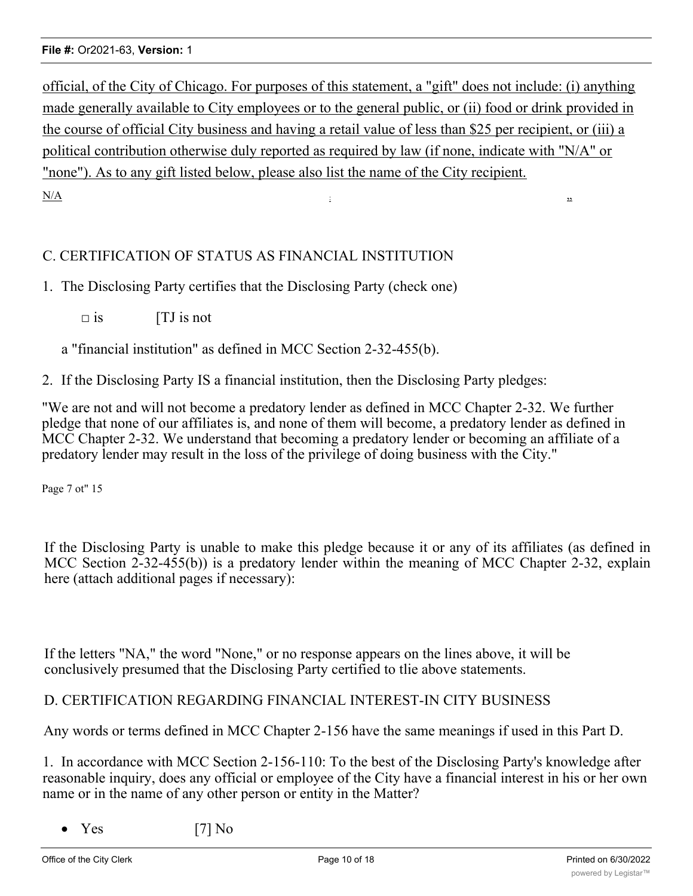official, of the City of Chicago. For purposes of this statement, a "gift" does not include: (i) anything made generally available to City employees or to the general public, or (ii) food or drink provided in the course of official City business and having a retail value of less than \$25 per recipient, or (iii) a political contribution otherwise duly reported as required by law (if none, indicate with "N/A" or "none"). As to any gift listed below, please also list the name of the City recipient.  $N/A$  is a set of  $N$  is a set of  $N$  is a set of  $N$  is a set of  $N$  is a set of  $N$  is a set of  $N$  is a set of  $N$  is a set of  $N$  is a set of  $N$  is a set of  $N$  is a set of  $N$  is a set of  $N$  is a set of  $N$  is a set

## C. CERTIFICATION OF STATUS AS FINANCIAL INSTITUTION

- 1. The Disclosing Party certifies that the Disclosing Party (check one)
	- $\square$  is  $\qquad \qquad$  [TJ is not

a "financial institution" as defined in MCC Section 2-32-455(b).

2. If the Disclosing Party IS a financial institution, then the Disclosing Party pledges:

"We are not and will not become a predatory lender as defined in MCC Chapter 2-32. We further pledge that none of our affiliates is, and none of them will become, a predatory lender as defined in MCC Chapter 2-32. We understand that becoming a predatory lender or becoming an affiliate of a predatory lender may result in the loss of the privilege of doing business with the City."

Page 7 ot" 15

If the Disclosing Party is unable to make this pledge because it or any of its affiliates (as defined in MCC Section 2-32-455(b)) is a predatory lender within the meaning of MCC Chapter 2-32, explain here (attach additional pages if necessary):

If the letters "NA," the word "None," or no response appears on the lines above, it will be conclusively presumed that the Disclosing Party certified to tlie above statements.

## D. CERTIFICATION REGARDING FINANCIAL INTEREST-IN CITY BUSINESS

Any words or terms defined in MCC Chapter 2-156 have the same meanings if used in this Part D.

1. In accordance with MCC Section 2-156-110: To the best of the Disclosing Party's knowledge after reasonable inquiry, does any official or employee of the City have a financial interest in his or her own name or in the name of any other person or entity in the Matter?

Yes [7] No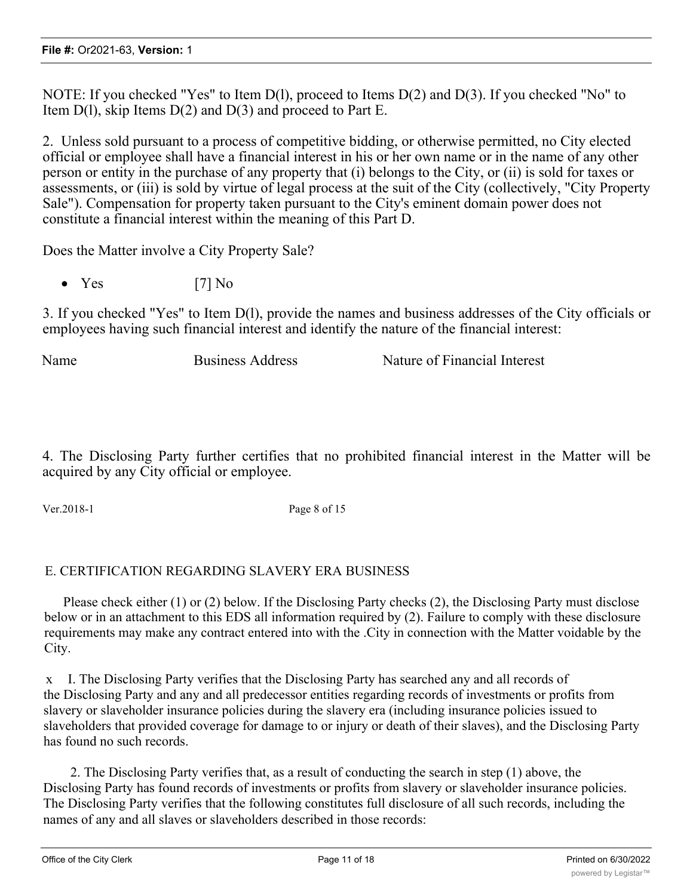NOTE: If you checked "Yes" to Item D(l), proceed to Items D(2) and D(3). If you checked "No" to Item  $D(1)$ , skip Items  $D(2)$  and  $D(3)$  and proceed to Part E.

2. Unless sold pursuant to a process of competitive bidding, or otherwise permitted, no City elected official or employee shall have a financial interest in his or her own name or in the name of any other person or entity in the purchase of any property that (i) belongs to the City, or (ii) is sold for taxes or assessments, or (iii) is sold by virtue of legal process at the suit of the City (collectively, "City Property Sale"). Compensation for property taken pursuant to the City's eminent domain power does not constitute a financial interest within the meaning of this Part D.

Does the Matter involve a City Property Sale?

•  $Yes$  [7] No

3. If you checked "Yes" to Item D(l), provide the names and business addresses of the City officials or employees having such financial interest and identify the nature of the financial interest:

Name Business Address Nature of Financial Interest

4. The Disclosing Party further certifies that no prohibited financial interest in the Matter will be acquired by any City official or employee.

Ver.2018-1 Page 8 of 15

## E. CERTIFICATION REGARDING SLAVERY ERA BUSINESS

Please check either (1) or (2) below. If the Disclosing Party checks (2), the Disclosing Party must disclose below or in an attachment to this EDS all information required by (2). Failure to comply with these disclosure requirements may make any contract entered into with the .City in connection with the Matter voidable by the City.

x I. The Disclosing Party verifies that the Disclosing Party has searched any and all records of the Disclosing Party and any and all predecessor entities regarding records of investments or profits from slavery or slaveholder insurance policies during the slavery era (including insurance policies issued to slaveholders that provided coverage for damage to or injury or death of their slaves), and the Disclosing Party has found no such records.

2. The Disclosing Party verifies that, as a result of conducting the search in step (1) above, the Disclosing Party has found records of investments or profits from slavery or slaveholder insurance policies. The Disclosing Party verifies that the following constitutes full disclosure of all such records, including the names of any and all slaves or slaveholders described in those records: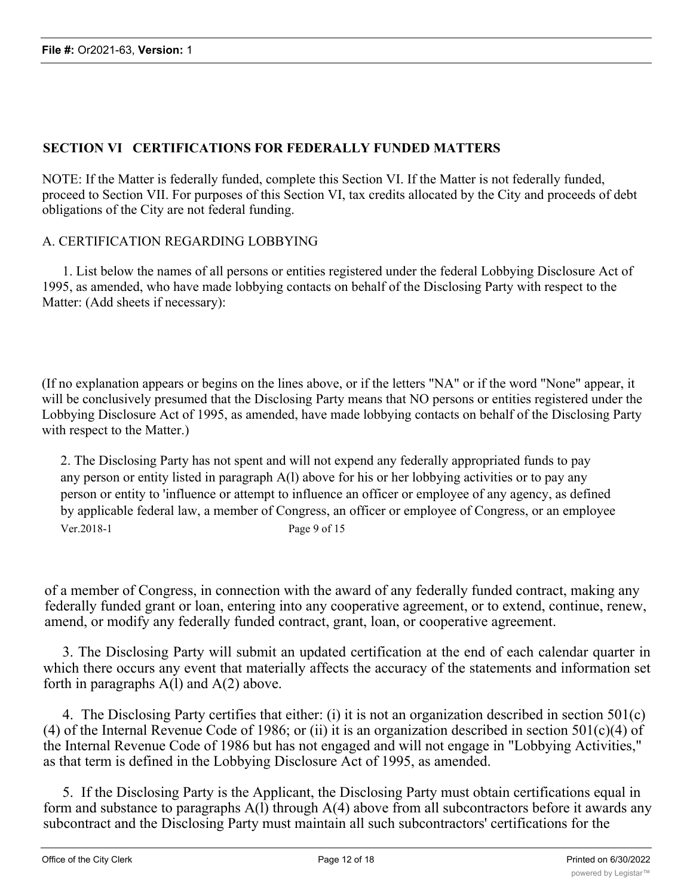## **SECTION VI CERTIFICATIONS FOR FEDERALLY FUNDED MATTERS**

NOTE: If the Matter is federally funded, complete this Section VI. If the Matter is not federally funded, proceed to Section VII. For purposes of this Section VI, tax credits allocated by the City and proceeds of debt obligations of the City are not federal funding.

## A. CERTIFICATION REGARDING LOBBYING

1. List below the names of all persons or entities registered under the federal Lobbying Disclosure Act of 1995, as amended, who have made lobbying contacts on behalf of the Disclosing Party with respect to the Matter: (Add sheets if necessary):

(If no explanation appears or begins on the lines above, or if the letters "NA" or if the word "None" appear, it will be conclusively presumed that the Disclosing Party means that NO persons or entities registered under the Lobbying Disclosure Act of 1995, as amended, have made lobbying contacts on behalf of the Disclosing Party with respect to the Matter.)

2. The Disclosing Party has not spent and will not expend any federally appropriated funds to pay any person or entity listed in paragraph A(l) above for his or her lobbying activities or to pay any person or entity to 'influence or attempt to influence an officer or employee of any agency, as defined by applicable federal law, a member of Congress, an officer or employee of Congress, or an employee Ver.2018-1 Page 9 of 15

of a member of Congress, in connection with the award of any federally funded contract, making any federally funded grant or loan, entering into any cooperative agreement, or to extend, continue, renew, amend, or modify any federally funded contract, grant, loan, or cooperative agreement.

3. The Disclosing Party will submit an updated certification at the end of each calendar quarter in which there occurs any event that materially affects the accuracy of the statements and information set forth in paragraphs  $A(1)$  and  $A(2)$  above.

4. The Disclosing Party certifies that either: (i) it is not an organization described in section 501(c) (4) of the Internal Revenue Code of 1986; or (ii) it is an organization described in section  $501(c)(4)$  of the Internal Revenue Code of 1986 but has not engaged and will not engage in "Lobbying Activities," as that term is defined in the Lobbying Disclosure Act of 1995, as amended.

5. If the Disclosing Party is the Applicant, the Disclosing Party must obtain certifications equal in form and substance to paragraphs  $A(1)$  through  $A(4)$  above from all subcontractors before it awards any subcontract and the Disclosing Party must maintain all such subcontractors' certifications for the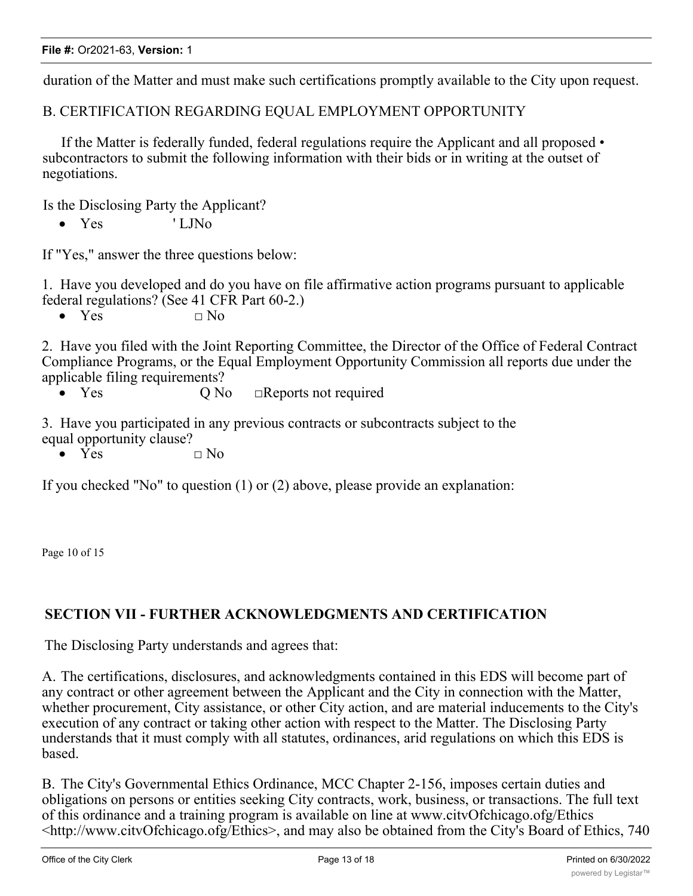duration of the Matter and must make such certifications promptly available to the City upon request.

B. CERTIFICATION REGARDING EQUAL EMPLOYMENT OPPORTUNITY

If the Matter is federally funded, federal regulations require the Applicant and all proposed • subcontractors to submit the following information with their bids or in writing at the outset of negotiations.

Is the Disclosing Party the Applicant?

• Yes ' LJNo

If "Yes," answer the three questions below:

1. Have you developed and do you have on file affirmative action programs pursuant to applicable federal regulations? (See 41 CFR Part 60-2.)

•  $Yes \t\t \Box No$ 

2. Have you filed with the Joint Reporting Committee, the Director of the Office of Federal Contract Compliance Programs, or the Equal Employment Opportunity Commission all reports due under the applicable filing requirements?

• Yes O No □Reports not required

3. Have you participated in any previous contracts or subcontracts subject to the equal opportunity clause?

•  $\overline{Yes}$   $\Box$  No

If you checked "No" to question (1) or (2) above, please provide an explanation:

Page 10 of 15

## **SECTION VII - FURTHER ACKNOWLEDGMENTS AND CERTIFICATION**

The Disclosing Party understands and agrees that:

A. The certifications, disclosures, and acknowledgments contained in this EDS will become part of any contract or other agreement between the Applicant and the City in connection with the Matter, whether procurement, City assistance, or other City action, and are material inducements to the City's execution of any contract or taking other action with respect to the Matter. The Disclosing Party understands that it must comply with all statutes, ordinances, arid regulations on which this EDS is based.

B. The City's Governmental Ethics Ordinance, MCC Chapter 2-156, imposes certain duties and obligations on persons or entities seeking City contracts, work, business, or transactions. The full text of this ordinance and a training program is available on line at www.citvOfchicago.ofg/Ethics <http://www.citvOfchicago.ofg/Ethics>, and may also be obtained from the City's Board of Ethics, 740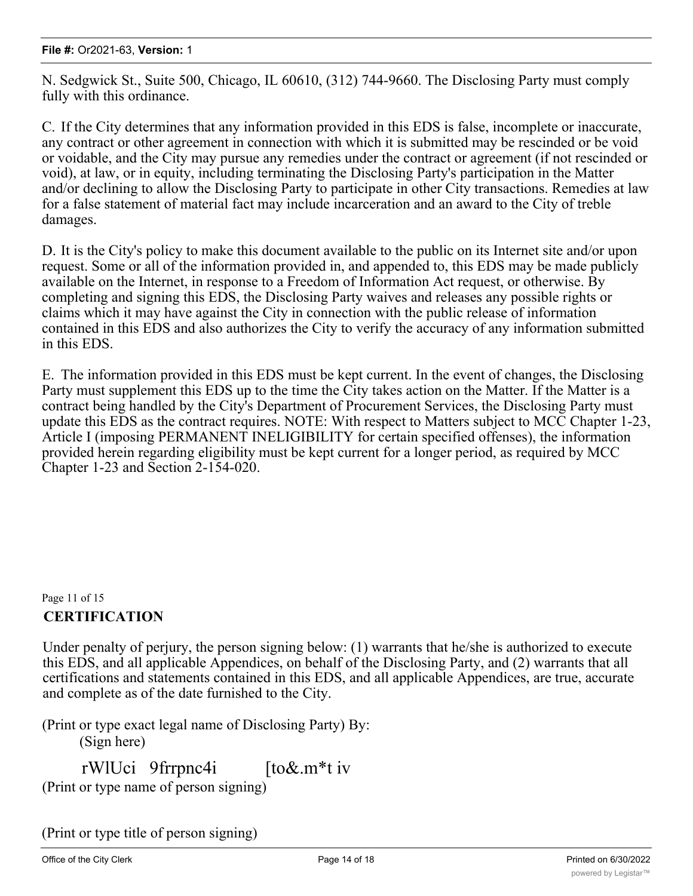N. Sedgwick St., Suite 500, Chicago, IL 60610, (312) 744-9660. The Disclosing Party must comply fully with this ordinance.

C. If the City determines that any information provided in this EDS is false, incomplete or inaccurate, any contract or other agreement in connection with which it is submitted may be rescinded or be void or voidable, and the City may pursue any remedies under the contract or agreement (if not rescinded or void), at law, or in equity, including terminating the Disclosing Party's participation in the Matter and/or declining to allow the Disclosing Party to participate in other City transactions. Remedies at law for a false statement of material fact may include incarceration and an award to the City of treble damages.

D. It is the City's policy to make this document available to the public on its Internet site and/or upon request. Some or all of the information provided in, and appended to, this EDS may be made publicly available on the Internet, in response to a Freedom of Information Act request, or otherwise. By completing and signing this EDS, the Disclosing Party waives and releases any possible rights or claims which it may have against the City in connection with the public release of information contained in this EDS and also authorizes the City to verify the accuracy of any information submitted in this EDS.

E. The information provided in this EDS must be kept current. In the event of changes, the Disclosing Party must supplement this EDS up to the time the City takes action on the Matter. If the Matter is a contract being handled by the City's Department of Procurement Services, the Disclosing Party must update this EDS as the contract requires. NOTE: With respect to Matters subject to MCC Chapter 1-23, Article I (imposing PERMANENT INELIGIBILITY for certain specified offenses), the information provided herein regarding eligibility must be kept current for a longer period, as required by MCC Chapter 1-23 and Section 2-154-020.

# Page 11 of 15 **CERTIFICATION**

Under penalty of perjury, the person signing below: (1) warrants that he/she is authorized to execute this EDS, and all applicable Appendices, on behalf of the Disclosing Party, and (2) warrants that all certifications and statements contained in this EDS, and all applicable Appendices, are true, accurate and complete as of the date furnished to the City.

(Print or type exact legal name of Disclosing Party) By: (Sign here)

rWlUci 9frrpnc4i [to&.m\*t iv (Print or type name of person signing)

(Print or type title of person signing)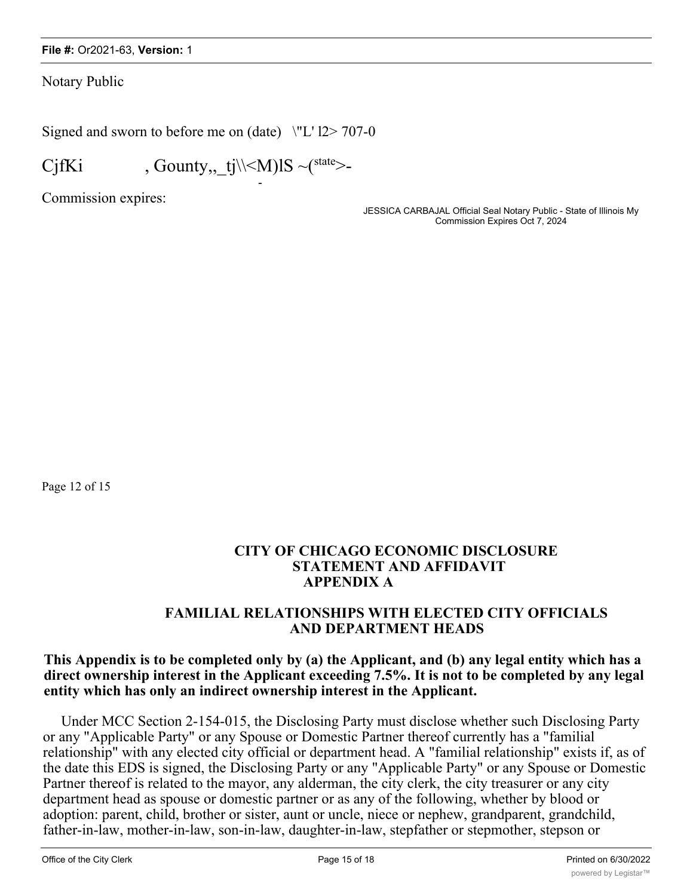Notary Public

Signed and sworn to before me on  $(data)$   $\forall$  L' l2> 707-0

-

CjfKi , Gounty, \_tj\\  $\langle M\rangle$  \[S ~(state>-

Commission expires:

JESSICA CARBAJAL Official Seal Notary Public - State of Illinois My Commission Expires Oct 7, 2024

Page 12 of 15

## **CITY OF CHICAGO ECONOMIC DISCLOSURE STATEMENT AND AFFIDAVIT APPENDIX A**

## **FAMILIAL RELATIONSHIPS WITH ELECTED CITY OFFICIALS AND DEPARTMENT HEADS**

## **This Appendix is to be completed only by (a) the Applicant, and (b) any legal entity which has a direct ownership interest in the Applicant exceeding 7.5%. It is not to be completed by any legal entity which has only an indirect ownership interest in the Applicant.**

Under MCC Section 2-154-015, the Disclosing Party must disclose whether such Disclosing Party or any "Applicable Party" or any Spouse or Domestic Partner thereof currently has a "familial relationship" with any elected city official or department head. A "familial relationship" exists if, as of the date this EDS is signed, the Disclosing Party or any "Applicable Party" or any Spouse or Domestic Partner thereof is related to the mayor, any alderman, the city clerk, the city treasurer or any city department head as spouse or domestic partner or as any of the following, whether by blood or adoption: parent, child, brother or sister, aunt or uncle, niece or nephew, grandparent, grandchild, father-in-law, mother-in-law, son-in-law, daughter-in-law, stepfather or stepmother, stepson or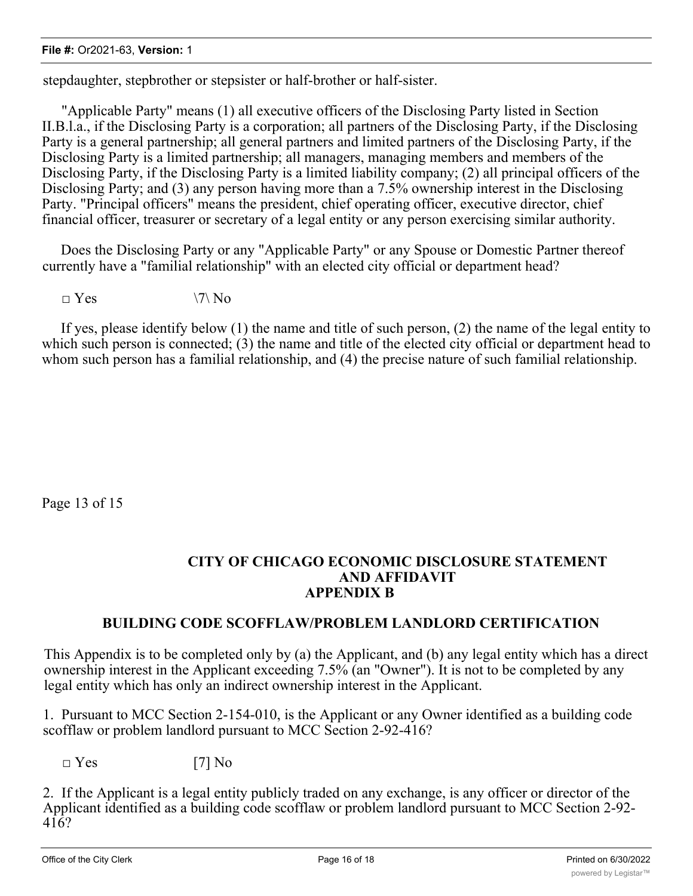stepdaughter, stepbrother or stepsister or half-brother or half-sister.

"Applicable Party" means (1) all executive officers of the Disclosing Party listed in Section II.B.l.a., if the Disclosing Party is a corporation; all partners of the Disclosing Party, if the Disclosing Party is a general partnership; all general partners and limited partners of the Disclosing Party, if the Disclosing Party is a limited partnership; all managers, managing members and members of the Disclosing Party, if the Disclosing Party is a limited liability company; (2) all principal officers of the Disclosing Party; and (3) any person having more than a 7.5% ownership interest in the Disclosing Party. "Principal officers" means the president, chief operating officer, executive director, chief financial officer, treasurer or secretary of a legal entity or any person exercising similar authority.

Does the Disclosing Party or any "Applicable Party" or any Spouse or Domestic Partner thereof currently have a "familial relationship" with an elected city official or department head?

 $\Box$  Yes  $\lor$   $\lor$  No

If yes, please identify below (1) the name and title of such person, (2) the name of the legal entity to which such person is connected; (3) the name and title of the elected city official or department head to whom such person has a familial relationship, and (4) the precise nature of such familial relationship.

Page 13 of 15

## **CITY OF CHICAGO ECONOMIC DISCLOSURE STATEMENT AND AFFIDAVIT APPENDIX B**

# **BUILDING CODE SCOFFLAW/PROBLEM LANDLORD CERTIFICATION**

This Appendix is to be completed only by (a) the Applicant, and (b) any legal entity which has a direct ownership interest in the Applicant exceeding 7.5% (an "Owner"). It is not to be completed by any legal entity which has only an indirect ownership interest in the Applicant.

1. Pursuant to MCC Section 2-154-010, is the Applicant or any Owner identified as a building code scofflaw or problem landlord pursuant to MCC Section 2-92-416?

 $\square$  Yes [7] No

2. If the Applicant is a legal entity publicly traded on any exchange, is any officer or director of the Applicant identified as a building code scofflaw or problem landlord pursuant to MCC Section 2-92- 416?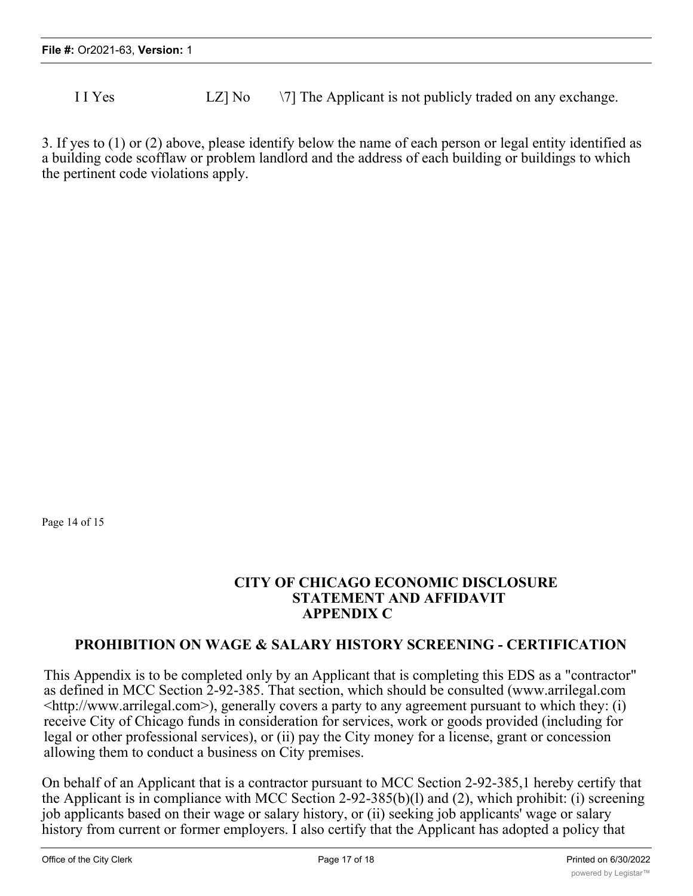I I Yes LZ No  $\sqrt{7}$  The Applicant is not publicly traded on any exchange.

3. If yes to (1) or (2) above, please identify below the name of each person or legal entity identified as a building code scofflaw or problem landlord and the address of each building or buildings to which the pertinent code violations apply.

Page 14 of 15

## **CITY OF CHICAGO ECONOMIC DISCLOSURE STATEMENT AND AFFIDAVIT APPENDIX C**

## **PROHIBITION ON WAGE & SALARY HISTORY SCREENING - CERTIFICATION**

This Appendix is to be completed only by an Applicant that is completing this EDS as a "contractor" as defined in MCC Section 2-92-385. That section, which should be consulted (www.arrilegal.com  $\langle$ http://www.arrilegal.com>), generally covers a party to any agreement pursuant to which they: (i) receive City of Chicago funds in consideration for services, work or goods provided (including for legal or other professional services), or (ii) pay the City money for a license, grant or concession allowing them to conduct a business on City premises.

On behalf of an Applicant that is a contractor pursuant to MCC Section 2-92-385,1 hereby certify that the Applicant is in compliance with MCC Section 2-92-385(b)(l) and (2), which prohibit: (i) screening job applicants based on their wage or salary history, or (ii) seeking job applicants' wage or salary history from current or former employers. I also certify that the Applicant has adopted a policy that